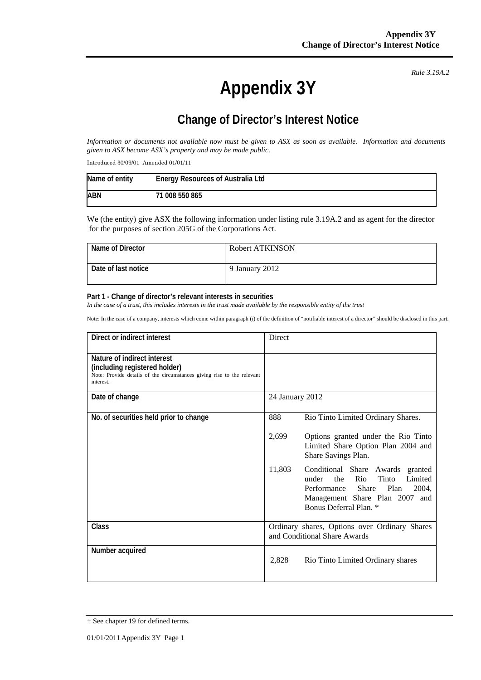**Appendix 3Y** 

*Rule 3.19A.2*

## **Change of Director's Interest Notice**

*Information or documents not available now must be given to ASX as soon as available. Information and documents given to ASX become ASX's property and may be made public.* 

Introduced 30/09/01 Amended 01/01/11

| Name of entity | <b>Energy Resources of Australia Ltd</b> |
|----------------|------------------------------------------|
| ABN            | 71 008 550 865                           |

We (the entity) give ASX the following information under listing rule 3.19A.2 and as agent for the director for the purposes of section 205G of the Corporations Act.

| Name of Director    | Robert ATKINSON |
|---------------------|-----------------|
| Date of last notice | 9 January 2012  |

## **Part 1 - Change of director's relevant interests in securities**

In the case of a trust, this includes interests in the trust made available by the responsible entity of the trust

Note: In the case of a company, interests which come within paragraph (i) of the definition of "notifiable interest of a director" should be disclosed in this part.

| Direct or indirect interest                                                                                                                         | Direct                                                                                                                                                                                  |  |
|-----------------------------------------------------------------------------------------------------------------------------------------------------|-----------------------------------------------------------------------------------------------------------------------------------------------------------------------------------------|--|
| Nature of indirect interest<br>(including registered holder)<br>Note: Provide details of the circumstances giving rise to the relevant<br>interest. |                                                                                                                                                                                         |  |
| Date of change                                                                                                                                      | 24 January 2012                                                                                                                                                                         |  |
| No. of securities held prior to change                                                                                                              | 888<br>Rio Tinto Limited Ordinary Shares.                                                                                                                                               |  |
|                                                                                                                                                     | 2,699<br>Options granted under the Rio Tinto<br>Limited Share Option Plan 2004 and<br>Share Savings Plan.                                                                               |  |
|                                                                                                                                                     | 11,803<br>Conditional Share Awards granted<br>Tinto<br>the<br>Rio<br>Limited<br>under<br>Performance Share<br>Plan<br>2004.<br>Management Share Plan 2007 and<br>Bonus Deferral Plan. * |  |
| Class                                                                                                                                               | Ordinary shares, Options over Ordinary Shares<br>and Conditional Share Awards                                                                                                           |  |
| Number acquired                                                                                                                                     | 2,828<br>Rio Tinto Limited Ordinary shares                                                                                                                                              |  |

<sup>+</sup> See chapter 19 for defined terms.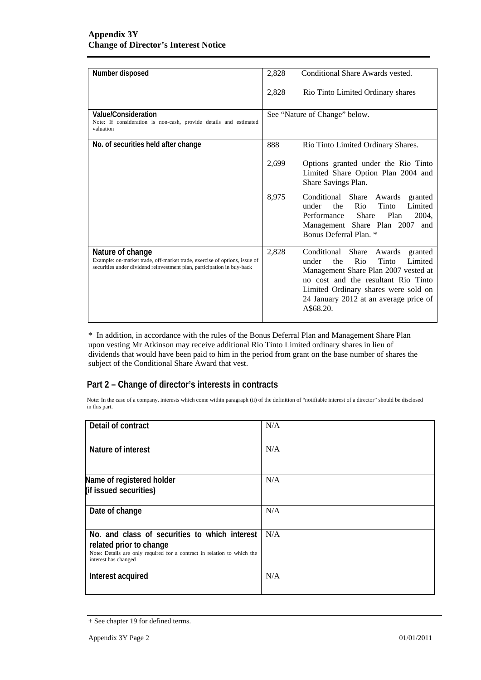| Number disposed                                                                                                                                                         | 2,828 | Conditional Share Awards vested.                                                                                                                                                                                                                                |
|-------------------------------------------------------------------------------------------------------------------------------------------------------------------------|-------|-----------------------------------------------------------------------------------------------------------------------------------------------------------------------------------------------------------------------------------------------------------------|
|                                                                                                                                                                         | 2,828 | Rio Tinto Limited Ordinary shares                                                                                                                                                                                                                               |
| Value/Consideration<br>Note: If consideration is non-cash, provide details and estimated<br>valuation                                                                   |       | See "Nature of Change" below.                                                                                                                                                                                                                                   |
| No. of securities held after change                                                                                                                                     | 888   | Rio Tinto Limited Ordinary Shares.                                                                                                                                                                                                                              |
|                                                                                                                                                                         | 2,699 | Options granted under the Rio Tinto<br>Limited Share Option Plan 2004 and<br>Share Savings Plan.                                                                                                                                                                |
|                                                                                                                                                                         | 8,975 | Conditional Share Awards<br>granted<br>Tinto<br>Limited<br>under<br>the<br>Rio<br>Share<br>Plan<br>2004,<br>Performance<br>Management Share Plan 2007<br>and<br>Bonus Deferral Plan. *                                                                          |
| Nature of change<br>Example: on-market trade, off-market trade, exercise of options, issue of<br>securities under dividend reinvestment plan, participation in buy-back | 2,828 | Conditional Share<br>Awards<br>granted<br>Rio<br>Tinto<br>Limited<br>under<br>the<br>Management Share Plan 2007 vested at<br>no cost and the resultant Rio Tinto<br>Limited Ordinary shares were sold on<br>24 January 2012 at an average price of<br>A\$68.20. |

\* In addition, in accordance with the rules of the Bonus Deferral Plan and Management Share Plan upon vesting Mr Atkinson may receive additional Rio Tinto Limited ordinary shares in lieu of dividends that would have been paid to him in the period from grant on the base number of shares the subject of the Conditional Share Award that vest.

## **Part 2 – Change of director's interests in contracts**

Note: In the case of a company, interests which come within paragraph (ii) of the definition of "notifiable interest of a director" should be disclosed in this part.

| Detail of contract                                                                                                                                                          | N/A |  |
|-----------------------------------------------------------------------------------------------------------------------------------------------------------------------------|-----|--|
| Nature of interest                                                                                                                                                          | N/A |  |
| Name of registered holder<br>(if issued securities)                                                                                                                         | N/A |  |
| Date of change                                                                                                                                                              | N/A |  |
| No. and class of securities to which interest<br>related prior to change<br>Note: Details are only required for a contract in relation to which the<br>interest has changed | N/A |  |
| Interest acquired                                                                                                                                                           | N/A |  |

<sup>+</sup> See chapter 19 for defined terms.